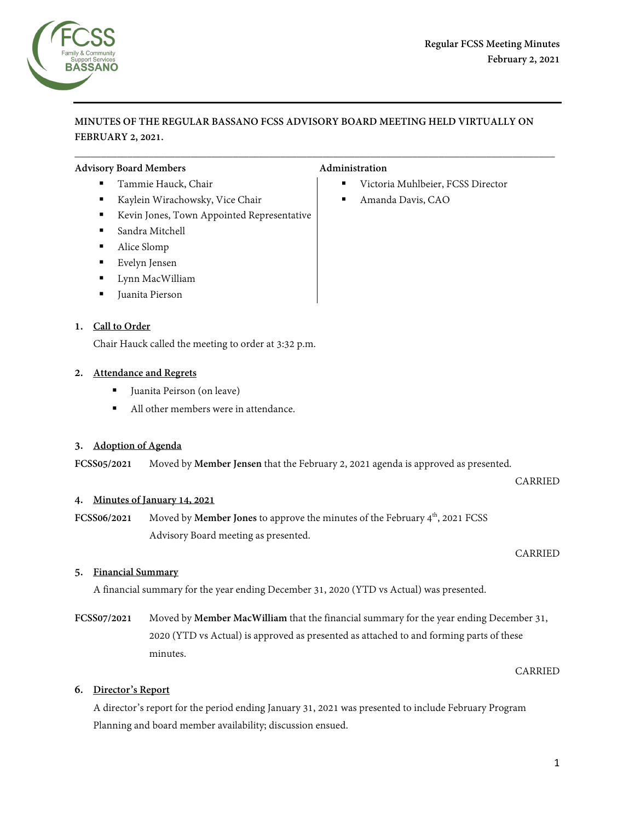

# **MINUTES OF THE REGULAR BASSANO FCSS ADVISORY BOARD MEETING HELD VIRTUALLY ON FEBRUARY 2, 2021.**

 $\overline{\phantom{a}}$  , and the contribution of the contribution of the contribution of the contribution of the contribution of the contribution of the contribution of the contribution of the contribution of the contribution of the

### Advisory Board Members **Administration Administration**

- 
- Kaylein Wirachowsky, Vice Chair Amanda Davis, CAO
- Kevin Jones, Town Appointed Representative
- Sandra Mitchell
- Alice Slomp
- Evelyn Jensen
- **Lynn MacWilliam**
- Juanita Pierson

# **1. Call to Order**

Chair Hauck called the meeting to order at 3:32 p.m.

# **2. Attendance and Regrets**

- Juanita Peirson (on leave)
- All other members were in attendance.

### **3. Adoption of Agenda**

**FCSS05/2021** Moved by **Member Jensen** that the February 2, 2021 agenda is approved as presented.

CARRIED

### **4. Minutes of January 14, 2021**

**FCSS06/2021** Moved by **Member Jones** to approve the minutes of the February 4<sup>th</sup>, 2021 FCSS Advisory Board meeting as presented.

CARRIED

### **5. Financial Summary**

A financial summary for the year ending December 31, 2020 (YTD vs Actual) was presented.

**FCSS07/2021** Moved by **Member MacWilliam** that the financial summary for the year ending December 31, 2020 (YTD vs Actual) is approved as presented as attached to and forming parts of these minutes.

CARRIED

# **6. Director's Report**

A director's report for the period ending January 31, 2021 was presented to include February Program Planning and board member availability; discussion ensued.

- Tammie Hauck, Chair 
Victoria Muhlbeier, FCSS Director
	-